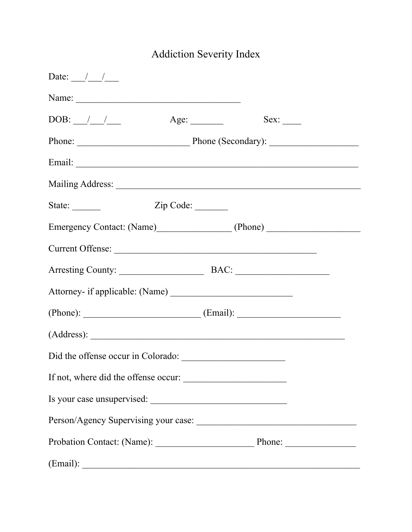## Addiction Severity Index

| Date: $\frac{1}{\sqrt{2}}$               |             |      |  |
|------------------------------------------|-------------|------|--|
| Name:                                    |             |      |  |
|                                          | Age: $\_\_$ | Sex: |  |
| Phone: Phone (Secondary):                |             |      |  |
|                                          |             |      |  |
|                                          |             |      |  |
| State: $\frac{ }{ }$                     | Zip Code:   |      |  |
|                                          |             |      |  |
|                                          |             |      |  |
|                                          |             |      |  |
|                                          |             |      |  |
| $(Phone):$ $(Email):$                    |             |      |  |
|                                          |             |      |  |
|                                          |             |      |  |
| If not, where did the offense occur:     |             |      |  |
| Is your case unsupervised:               |             |      |  |
|                                          |             |      |  |
| Probation Contact: (Name): Phone: Phone: |             |      |  |
|                                          |             |      |  |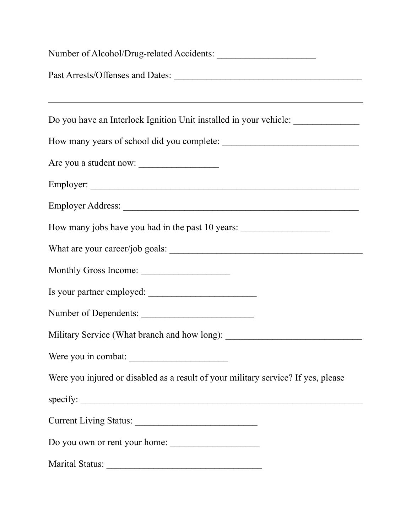| Number of Alcohol/Drug-related Accidents:                                                                                                                                                                                                                                                                                                                                                                                                                                                                                                                                                                                                                                                                                |
|--------------------------------------------------------------------------------------------------------------------------------------------------------------------------------------------------------------------------------------------------------------------------------------------------------------------------------------------------------------------------------------------------------------------------------------------------------------------------------------------------------------------------------------------------------------------------------------------------------------------------------------------------------------------------------------------------------------------------|
|                                                                                                                                                                                                                                                                                                                                                                                                                                                                                                                                                                                                                                                                                                                          |
| ,我们也不会有什么。""我们的人,我们也不会有什么?""我们的人,我们也不会有什么?""我们的人,我们也不会有什么?""我们的人,我们也不会有什么?""我们的人                                                                                                                                                                                                                                                                                                                                                                                                                                                                                                                                                                                                                                         |
| Do you have an Interlock Ignition Unit installed in your vehicle:                                                                                                                                                                                                                                                                                                                                                                                                                                                                                                                                                                                                                                                        |
|                                                                                                                                                                                                                                                                                                                                                                                                                                                                                                                                                                                                                                                                                                                          |
|                                                                                                                                                                                                                                                                                                                                                                                                                                                                                                                                                                                                                                                                                                                          |
|                                                                                                                                                                                                                                                                                                                                                                                                                                                                                                                                                                                                                                                                                                                          |
|                                                                                                                                                                                                                                                                                                                                                                                                                                                                                                                                                                                                                                                                                                                          |
| How many jobs have you had in the past 10 years:                                                                                                                                                                                                                                                                                                                                                                                                                                                                                                                                                                                                                                                                         |
|                                                                                                                                                                                                                                                                                                                                                                                                                                                                                                                                                                                                                                                                                                                          |
| Monthly Gross Income:                                                                                                                                                                                                                                                                                                                                                                                                                                                                                                                                                                                                                                                                                                    |
| Is your partner employed:                                                                                                                                                                                                                                                                                                                                                                                                                                                                                                                                                                                                                                                                                                |
| Number of Dependents:                                                                                                                                                                                                                                                                                                                                                                                                                                                                                                                                                                                                                                                                                                    |
| Military Service (What branch and how long): ___________________________________                                                                                                                                                                                                                                                                                                                                                                                                                                                                                                                                                                                                                                         |
| Were you in combat:                                                                                                                                                                                                                                                                                                                                                                                                                                                                                                                                                                                                                                                                                                      |
| Were you injured or disabled as a result of your military service? If yes, please                                                                                                                                                                                                                                                                                                                                                                                                                                                                                                                                                                                                                                        |
| $\text{specify:}\n\quadp{array}{\longrightarrow}\n\quadp{array}{\longrightarrow}\n\quadp{array}{\longrightarrow}\n\quadp{array}{\longrightarrow}\n\quadp{array}{\longrightarrow}\n\quadp{array}{\longrightarrow}\n\quadp{array}{\longrightarrow}\n\quadp{array}{\longrightarrow}\n\quadp{array}{\longrightarrow}\n\quadp{array}{\longrightarrow}\n\quadp{array}{\longrightarrow}\n\quadp{array}{\longrightarrow}\n\quadp{array}{\longrightarrow}\n\quadp{array}{\longrightarrow}\n\quadp{array}{\longrightarrow}\n\quadp{array}{\longrightarrow}\n\quadp{array}{\longrightarrow}\n\quadp{array}{\longrightarrow}\n\quadp{array}{\longrightarrow}\n\quadp{array}{\longrightarrow}\n\quadp{array}{\longrightarrow}\n\quad$ |
| Current Living Status:                                                                                                                                                                                                                                                                                                                                                                                                                                                                                                                                                                                                                                                                                                   |
| Do you own or rent your home:                                                                                                                                                                                                                                                                                                                                                                                                                                                                                                                                                                                                                                                                                            |
| Marital Status:<br><u> 1980 - John Stein, Amerikaansk politiker (</u>                                                                                                                                                                                                                                                                                                                                                                                                                                                                                                                                                                                                                                                    |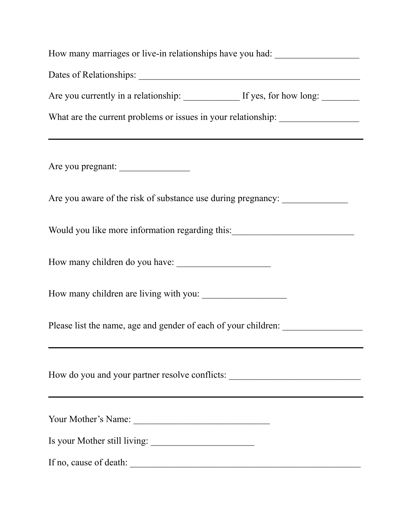| How many marriages or live-in relationships have you had: ______________________                                                                       |
|--------------------------------------------------------------------------------------------------------------------------------------------------------|
| Dates of Relationships:                                                                                                                                |
|                                                                                                                                                        |
| What are the current problems or issues in your relationship: __________________<br><u> 1989 - Jan Samuel Barbara, margaret eta idazlea (h. 1989).</u> |
| Are you pregnant:                                                                                                                                      |
| Are you aware of the risk of substance use during pregnancy:                                                                                           |
| Would you like more information regarding this:_________________________________                                                                       |
| How many children do you have:                                                                                                                         |
|                                                                                                                                                        |
| Please list the name, age and gender of each of your children:                                                                                         |
| How do you and your partner resolve conflicts: _________________________________                                                                       |
| Your Mother's Name:                                                                                                                                    |
| Is your Mother still living:                                                                                                                           |
| If no, cause of death:                                                                                                                                 |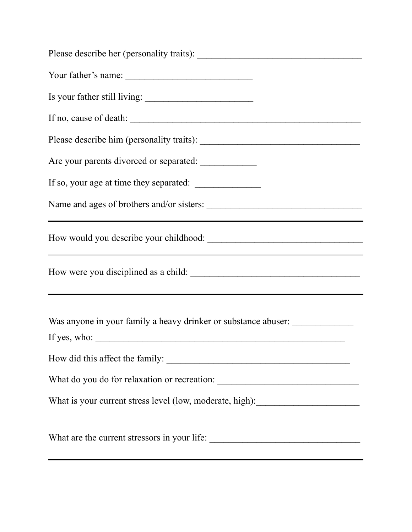| Your father's name:                                                              |
|----------------------------------------------------------------------------------|
|                                                                                  |
| If no, cause of death:                                                           |
|                                                                                  |
| Are your parents divorced or separated:                                          |
|                                                                                  |
|                                                                                  |
| <u> 1980 - Johann Barbara, martxa alemaniar arg</u>                              |
|                                                                                  |
| Was anyone in your family a heavy drinker or substance abuser:                   |
|                                                                                  |
| What do you do for relaxation or recreation: ___________________________________ |
| What is your current stress level (low, moderate, high): _______________________ |
| What are the current stressors in your life:                                     |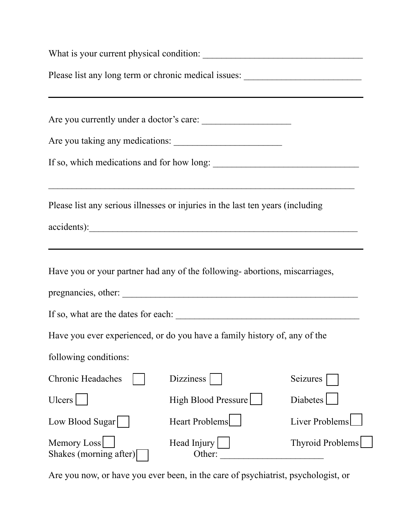| Please list any long term or chronic medical issues: ___________________________ |                                                                                                                                                                                   |                         |  |
|----------------------------------------------------------------------------------|-----------------------------------------------------------------------------------------------------------------------------------------------------------------------------------|-------------------------|--|
|                                                                                  | ,我们也不会有什么。""我们的人,我们也不会有什么?""我们的人,我们也不会有什么?""我们的人,我们也不会有什么?""我们的人,我们也不会有什么?""我们的人<br>Are you currently under a doctor's care:                                                      |                         |  |
|                                                                                  | Are you taking any medications:                                                                                                                                                   |                         |  |
|                                                                                  | If so, which medications and for how long:                                                                                                                                        |                         |  |
|                                                                                  | Please list any serious illnesses or injuries in the last ten years (including<br>accidents):<br>,我们也不会有什么。""我们的人,我们也不会有什么?""我们的人,我们也不会有什么?""我们的人,我们也不会有什么?""我们的人,我们也不会有什么?""我们的人 |                         |  |
|                                                                                  | Have you or your partner had any of the following-abortions, miscarriages,                                                                                                        |                         |  |
|                                                                                  |                                                                                                                                                                                   |                         |  |
|                                                                                  | Have you ever experienced, or do you have a family history of, any of the                                                                                                         |                         |  |
| following conditions:                                                            |                                                                                                                                                                                   |                         |  |
| <b>Chronic Headaches</b>                                                         | <b>Dizziness</b>                                                                                                                                                                  | Seizures                |  |
| Ulcers                                                                           | High Blood Pressure                                                                                                                                                               | Diabetes                |  |
| Low Blood Sugar                                                                  | <b>Heart Problems</b>                                                                                                                                                             | <b>Liver Problems</b>   |  |
| Memory Loss<br>Shakes (morning after)                                            | Head Injury<br>Other:                                                                                                                                                             | <b>Thyroid Problems</b> |  |

Are you now, or have you ever been, in the care of psychiatrist, psychologist, or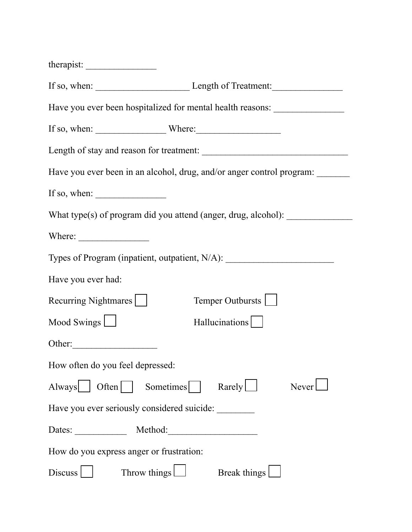|                                                                 | If so, when: Length of Treatment:                                                |
|-----------------------------------------------------------------|----------------------------------------------------------------------------------|
|                                                                 | Have you ever been hospitalized for mental health reasons:                       |
|                                                                 | If so, when: $\_\_\_\_\_\_\_\_\_\_\_\_\_\_\_\_\_\_\_\_\_\_\_\_\_\_\_\_\_\_.\_$   |
|                                                                 |                                                                                  |
|                                                                 | Have you ever been in an alcohol, drug, and/or anger control program:            |
| If so, when: $\frac{1}{\sqrt{1-\frac{1}{2}} \cdot \frac{1}{2}}$ |                                                                                  |
|                                                                 | What type(s) of program did you attend (anger, drug, alcohol): _________________ |
|                                                                 |                                                                                  |
|                                                                 | Types of Program (inpatient, outpatient, N/A): _________________________________ |
| Have you ever had:                                              |                                                                                  |
| Recurring Nightmares                                            | Temper Outbursts                                                                 |
| Mood Swings $\Box$                                              | Hallucinations                                                                   |
|                                                                 |                                                                                  |
| How often do you feel depressed:                                |                                                                                  |
| Always   Often   Sometimes                                      | $\text{Rarely}$<br>Never                                                         |
|                                                                 | Have you ever seriously considered suicide:                                      |
|                                                                 | Dates: Method: Method:                                                           |
| How do you express anger or frustration:                        |                                                                                  |
| Discuss                                                         | Throw things $\Box$<br>Break things                                              |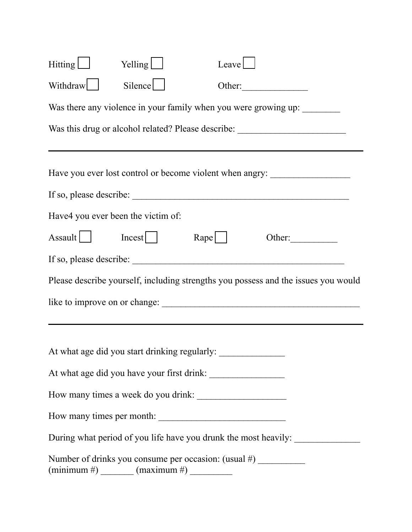| Hitting $\boxed{\phantom{a}}$      | Yelling $\Box$                                                                                        | Leave                          |                                                                                    |
|------------------------------------|-------------------------------------------------------------------------------------------------------|--------------------------------|------------------------------------------------------------------------------------|
| Withdraw                           | Silence                                                                                               | Other:                         |                                                                                    |
|                                    | Was there any violence in your family when you were growing up:                                       |                                |                                                                                    |
|                                    | Was this drug or alcohol related? Please describe: _____________________________                      |                                |                                                                                    |
|                                    | Have you ever lost control or become violent when angry:                                              |                                |                                                                                    |
|                                    |                                                                                                       |                                |                                                                                    |
| Have4 you ever been the victim of: |                                                                                                       |                                |                                                                                    |
| Assault   Incest                   |                                                                                                       | $\mathbb{R}$ ape $\vert \vert$ | Other: $\qquad \qquad$                                                             |
|                                    |                                                                                                       |                                |                                                                                    |
|                                    |                                                                                                       |                                | Please describe yourself, including strengths you possess and the issues you would |
|                                    |                                                                                                       |                                |                                                                                    |
|                                    | At what age did you start drinking regularly:                                                         |                                |                                                                                    |
|                                    | At what age did you have your first drink:                                                            |                                |                                                                                    |
|                                    | How many times a week do you drink:                                                                   |                                |                                                                                    |
|                                    | How many times per month:                                                                             |                                |                                                                                    |
|                                    |                                                                                                       |                                | During what period of you life have you drunk the most heavily:                    |
|                                    | Number of drinks you consume per occasion: (usual #)<br>$(\text{minimum } \#)$ $(\text{maximum } \#)$ |                                |                                                                                    |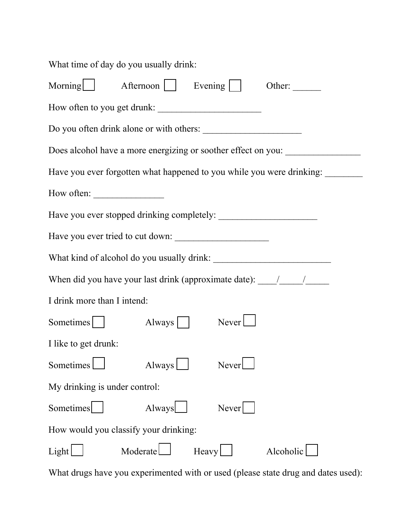What time of day do you usually drink: Morning  $\Box$  Afternoon  $\Box$  Evening  $\Box$  Other: How often to you get drunk: \_\_\_\_\_\_\_\_\_\_\_\_\_\_\_\_\_\_\_\_\_\_ Do you often drink alone or with others: \_\_\_\_\_\_\_\_\_\_\_\_\_\_\_\_\_\_\_\_\_ Does alcohol have a more energizing or soother effect on you: Have you ever forgotten what happened to you while you were drinking: \_\_\_\_\_\_\_\_\_\_ How often: Have you ever stopped drinking completely: \_\_\_\_\_\_\_\_\_\_\_\_\_\_\_\_\_\_\_\_\_ Have you ever tried to cut down: What kind of alcohol do you usually drink: When did you have your last drink (approximate date):  $\frac{1}{\sqrt{2\pi}}$ I drink more than I intend: Sometimes Always Never I like to get drunk: Sometimes Always Never My drinking is under control: Sometimes Always Never How would you classify your drinking:  $Light$  Moderate Heavy Heavy Alcoholic

What drugs have you experimented with or used (please state drug and dates used):